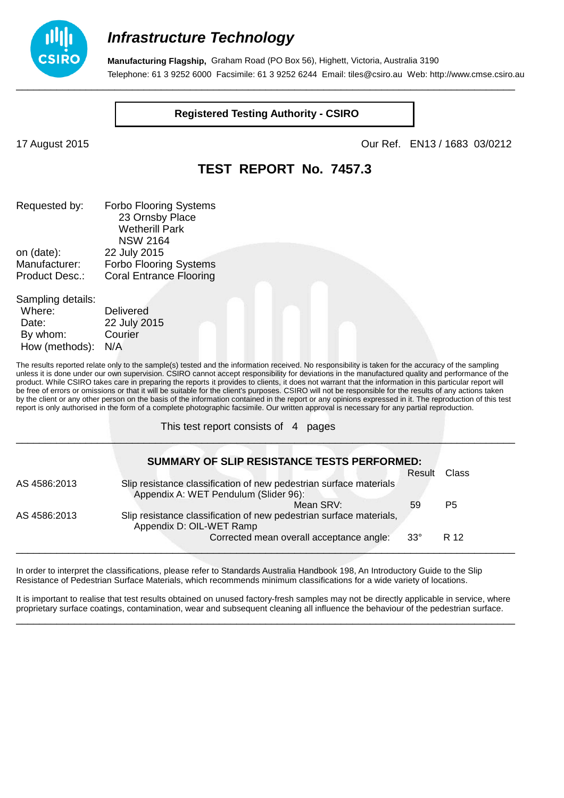

**Manufacturing Flagship,** Graham Road (PO Box 56), Highett, Victoria, Australia 3190 Telephone: 61 3 9252 6000 Facsimile: 61 3 9252 6244 Email: tiles@csiro.au Web: http://www.cmse.csiro.au \_\_\_\_\_\_\_\_\_\_\_\_\_\_\_\_\_\_\_\_\_\_\_\_\_\_\_\_\_\_\_\_\_\_\_\_\_\_\_\_\_\_\_\_\_\_\_\_\_\_\_\_\_\_\_\_\_\_\_\_\_\_\_\_\_\_\_\_\_\_\_\_\_\_\_\_\_\_\_\_\_\_\_\_\_\_

**Registered Testing Authority - CSIRO**

17 August 2015 Our Ref. EN13 / 1683 03/0212

### **TEST REPORT No. 7457.3**

| Requested by:         | <b>Forbo Flooring Systems</b>  |
|-----------------------|--------------------------------|
|                       | 23 Ornsby Place                |
|                       | <b>Wetherill Park</b>          |
|                       | <b>NSW 2164</b>                |
| on (date):            | 22 July 2015                   |
| Manufacturer:         | <b>Forbo Flooring Systems</b>  |
| <b>Product Desc.:</b> | <b>Coral Entrance Flooring</b> |
|                       |                                |
|                       |                                |

| Sampling details: |                  |
|-------------------|------------------|
| Where:            | <b>Delivered</b> |
| Date:             | 22 July 2015     |
| By whom:          | Courier          |
| How (methods):    | N/A              |
|                   |                  |

The results reported relate only to the sample(s) tested and the information received. No responsibility is taken for the accuracy of the sampling unless it is done under our own supervision. CSIRO cannot accept responsibility for deviations in the manufactured quality and performance of the product. While CSIRO takes care in preparing the reports it provides to clients, it does not warrant that the information in this particular report will be free of errors or omissions or that it will be suitable for the client's purposes. CSIRO will not be responsible for the results of any actions taken by the client or any other person on the basis of the information contained in the report or any opinions expressed in it. The reproduction of this test report is only authorised in the form of a complete photographic facsimile. Our written approval is necessary for any partial reproduction.

\_\_\_\_\_\_\_\_\_\_\_\_\_\_\_\_\_\_\_\_\_\_\_\_\_\_\_\_\_\_\_\_\_\_\_\_\_\_\_\_\_\_\_\_\_\_\_\_\_\_\_\_\_\_\_\_\_\_\_\_\_\_\_\_\_\_\_\_\_\_\_\_\_\_\_\_\_\_\_\_\_\_\_\_\_\_

This test report consists of 4 pages

|              | <b>SUMMARY OF SLIP RESISTANCE TESTS PERFORMED:</b>                                                          |            |                |
|--------------|-------------------------------------------------------------------------------------------------------------|------------|----------------|
|              |                                                                                                             | Result     | Class          |
| AS 4586:2013 | Slip resistance classification of new pedestrian surface materials<br>Appendix A: WET Pendulum (Slider 96): |            |                |
|              | Mean SRV:                                                                                                   | 59         | P <sub>5</sub> |
| AS 4586:2013 | Slip resistance classification of new pedestrian surface materials,<br>Appendix D: OIL-WET Ramp             |            |                |
|              | Corrected mean overall acceptance angle:                                                                    | $33^\circ$ | R 12           |

In order to interpret the classifications, please refer to Standards Australia Handbook 198, An Introductory Guide to the Slip Resistance of Pedestrian Surface Materials, which recommends minimum classifications for a wide variety of locations.

It is important to realise that test results obtained on unused factory-fresh samples may not be directly applicable in service, where proprietary surface coatings, contamination, wear and subsequent cleaning all influence the behaviour of the pedestrian surface. \_\_\_\_\_\_\_\_\_\_\_\_\_\_\_\_\_\_\_\_\_\_\_\_\_\_\_\_\_\_\_\_\_\_\_\_\_\_\_\_\_\_\_\_\_\_\_\_\_\_\_\_\_\_\_\_\_\_\_\_\_\_\_\_\_\_\_\_\_\_\_\_\_\_\_\_\_\_\_\_\_\_\_\_\_\_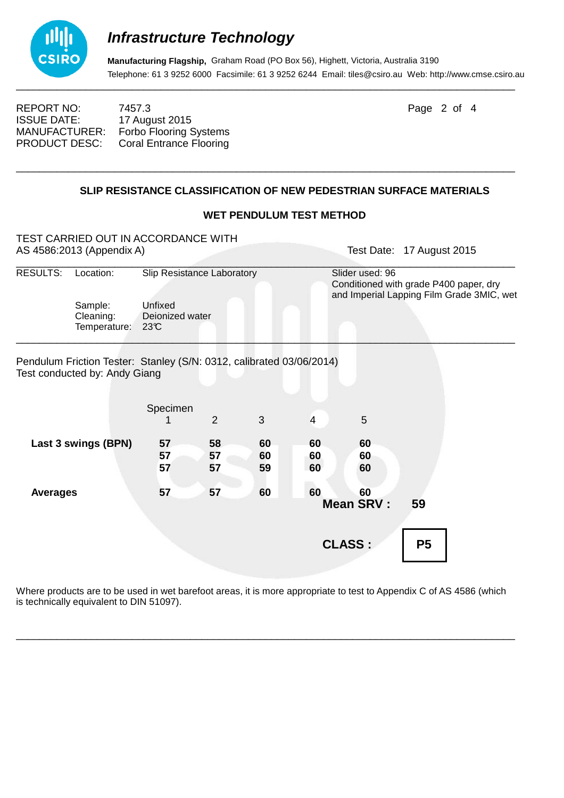

**Manufacturing Flagship,** Graham Road (PO Box 56), Highett, Victoria, Australia 3190 Telephone: 61 3 9252 6000 Facsimile: 61 3 9252 6244 Email: tiles@csiro.au Web: http://www.cmse.csiro.au

REPORT NO: 7457.3 Page 2 of 4 ISSUE DATE: 17 August 2015<br>MANUFACTURER: Forbo Flooring 9 Forbo Flooring Systems PRODUCT DESC: Coral Entrance Flooring

#### **SLIP RESISTANCE CLASSIFICATION OF NEW PEDESTRIAN SURFACE MATERIALS**

\_\_\_\_\_\_\_\_\_\_\_\_\_\_\_\_\_\_\_\_\_\_\_\_\_\_\_\_\_\_\_\_\_\_\_\_\_\_\_\_\_\_\_\_\_\_\_\_\_\_\_\_\_\_\_\_\_\_\_\_\_\_\_\_\_\_\_\_\_\_\_\_\_\_\_\_\_\_\_\_\_\_\_\_\_\_

#### **WET PENDULUM TEST METHOD**

| TEST CARRIED OUT IN ACCORDANCE WITH<br>AS 4586:2013 (Appendix A) |                                                                                                       |                                                                 |                |                |                | Test Date:                                                                                             | 17 August 2015 |  |
|------------------------------------------------------------------|-------------------------------------------------------------------------------------------------------|-----------------------------------------------------------------|----------------|----------------|----------------|--------------------------------------------------------------------------------------------------------|----------------|--|
| RESULTS:                                                         | Location:                                                                                             | Slip Resistance Laboratory<br>Unfixed<br>Deionized water<br>23C |                |                |                | Slider used: 96<br>Conditioned with grade P400 paper, dry<br>and Imperial Lapping Film Grade 3MIC, wet |                |  |
|                                                                  | Sample:<br>Cleaning:<br>Temperature:                                                                  |                                                                 |                |                |                |                                                                                                        |                |  |
|                                                                  | Pendulum Friction Tester: Stanley (S/N: 0312, calibrated 03/06/2014)<br>Test conducted by: Andy Giang |                                                                 |                |                |                |                                                                                                        |                |  |
|                                                                  |                                                                                                       | Specimen                                                        | 2              | 3              | $\overline{4}$ | 5                                                                                                      |                |  |
|                                                                  | Last 3 swings (BPN)                                                                                   | 57<br>57<br>57                                                  | 58<br>57<br>57 | 60<br>60<br>59 | 60<br>60<br>60 | 60<br>60<br>60                                                                                         |                |  |
| <b>Averages</b>                                                  |                                                                                                       | 57                                                              | 57             | 60             | 60             | 60<br><b>Mean SRV:</b>                                                                                 | 59             |  |
|                                                                  |                                                                                                       |                                                                 |                |                |                | <b>CLASS:</b>                                                                                          | P <sub>5</sub> |  |

Where products are to be used in wet barefoot areas, it is more appropriate to test to Appendix C of AS 4586 (which is technically equivalent to DIN 51097).

\_\_\_\_\_\_\_\_\_\_\_\_\_\_\_\_\_\_\_\_\_\_\_\_\_\_\_\_\_\_\_\_\_\_\_\_\_\_\_\_\_\_\_\_\_\_\_\_\_\_\_\_\_\_\_\_\_\_\_\_\_\_\_\_\_\_\_\_\_\_\_\_\_\_\_\_\_\_\_\_\_\_\_\_\_\_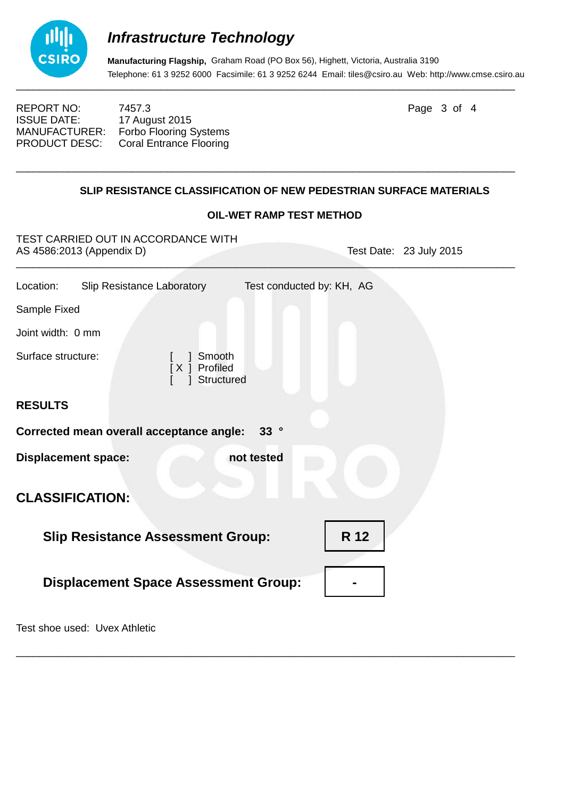

**Manufacturing Flagship,** Graham Road (PO Box 56), Highett, Victoria, Australia 3190 Telephone: 61 3 9252 6000 Facsimile: 61 3 9252 6244 Email: tiles@csiro.au Web: http://www.cmse.csiro.au

REPORT NO: 7457.3 Page 3 of 4 ISSUE DATE: 17 August 2015<br>MANUFACTURER: Forbo Flooring 9 Forbo Flooring Systems PRODUCT DESC: Coral Entrance Flooring

#### **SLIP RESISTANCE CLASSIFICATION OF NEW PEDESTRIAN SURFACE MATERIALS**

\_\_\_\_\_\_\_\_\_\_\_\_\_\_\_\_\_\_\_\_\_\_\_\_\_\_\_\_\_\_\_\_\_\_\_\_\_\_\_\_\_\_\_\_\_\_\_\_\_\_\_\_\_\_\_\_\_\_\_\_\_\_\_\_\_\_\_\_\_\_\_\_\_\_\_\_\_\_\_\_\_\_\_\_\_\_

#### **OIL-WET RAMP TEST METHOD**

| TEST CARRIED OUT IN ACCORDANCE WITH<br>AS 4586:2013 (Appendix D) | Test Date: 23 July 2015   |  |  |  |
|------------------------------------------------------------------|---------------------------|--|--|--|
| Slip Resistance Laboratory<br>Location:                          | Test conducted by: KH, AG |  |  |  |
| Sample Fixed                                                     |                           |  |  |  |
| Joint width: 0 mm                                                |                           |  |  |  |
| Surface structure:<br>1 Smooth<br>[X ] Profiled<br>] Structured  |                           |  |  |  |
| <b>RESULTS</b>                                                   |                           |  |  |  |
| Corrected mean overall acceptance angle:<br>33 <sup>°</sup>      |                           |  |  |  |
| <b>Displacement space:</b><br>not tested                         |                           |  |  |  |
| <b>CLASSIFICATION:</b>                                           |                           |  |  |  |
| <b>Slip Resistance Assessment Group:</b>                         | R 12                      |  |  |  |
| <b>Displacement Space Assessment Group:</b>                      |                           |  |  |  |
|                                                                  |                           |  |  |  |

\_\_\_\_\_\_\_\_\_\_\_\_\_\_\_\_\_\_\_\_\_\_\_\_\_\_\_\_\_\_\_\_\_\_\_\_\_\_\_\_\_\_\_\_\_\_\_\_\_\_\_\_\_\_\_\_\_\_\_\_\_\_\_\_\_\_\_\_\_\_\_\_\_\_\_\_\_\_\_\_\_\_\_\_\_\_

Test shoe used: Uvex Athletic